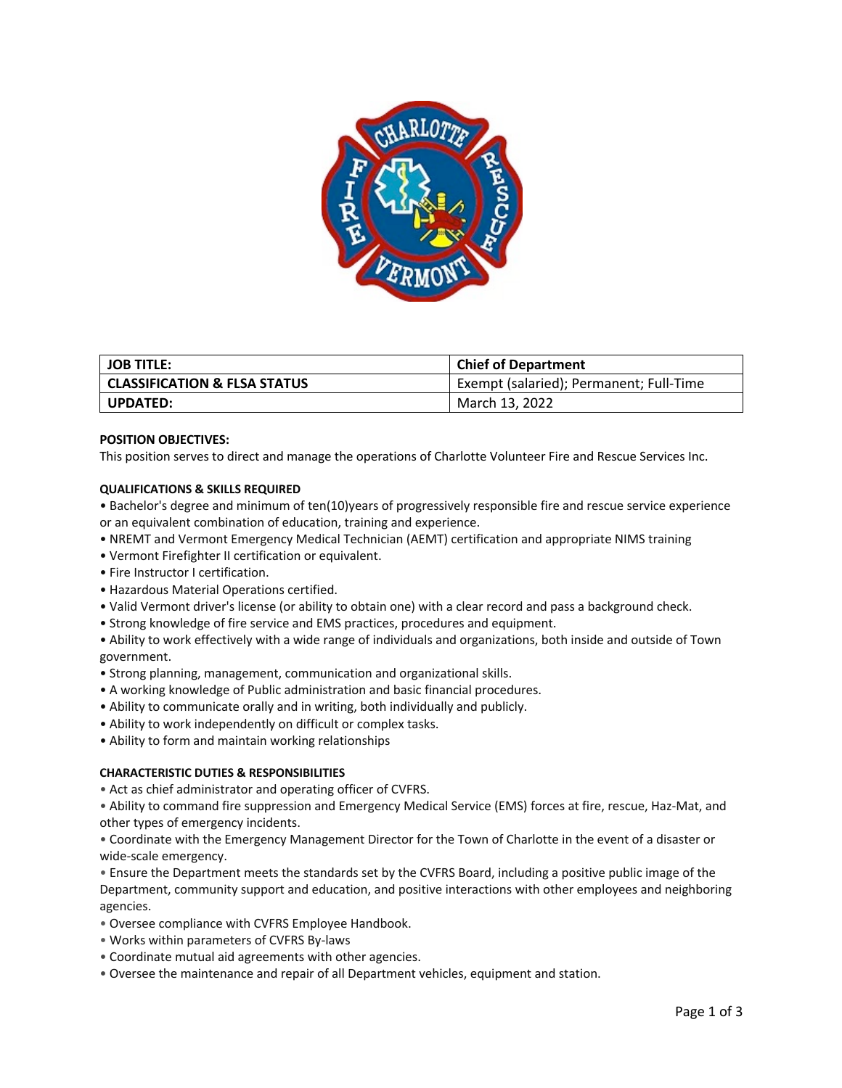

| <b>JOB TITLE:</b>                       | <b>Chief of Department</b>              |
|-----------------------------------------|-----------------------------------------|
| <b>CLASSIFICATION &amp; FLSA STATUS</b> | Exempt (salaried); Permanent; Full-Time |
| <b>UPDATED:</b>                         | March 13, 2022                          |

# **POSITION OBJECTIVES:**

This position serves to direct and manage the operations of Charlotte Volunteer Fire and Rescue Services Inc.

## **QUALIFICATIONS & SKILLS REQUIRED**

• Bachelor's degree and minimum of ten(10)years of progressively responsible fire and rescue service experience or an equivalent combination of education, training and experience.

- NREMT and Vermont Emergency Medical Technician (AEMT) certification and appropriate NIMS training
- Vermont Firefighter II certification or equivalent.
- Fire Instructor I certification.
- Hazardous Material Operations certified.
- Valid Vermont driver's license (or ability to obtain one) with a clear record and pass a background check.
- Strong knowledge of fire service and EMS practices, procedures and equipment.

• Ability to work effectively with a wide range of individuals and organizations, both inside and outside of Town government.

- Strong planning, management, communication and organizational skills.
- A working knowledge of Public administration and basic financial procedures.
- Ability to communicate orally and in writing, both individually and publicly.
- Ability to work independently on difficult or complex tasks.
- Ability to form and maintain working relationships

## **CHARACTERISTIC DUTIES & RESPONSIBILITIES**

• Act as chief administrator and operating officer of CVFRS.

• Ability to command fire suppression and Emergency Medical Service (EMS) forces at fire, rescue, Haz-Mat, and other types of emergency incidents.

• Coordinate with the Emergency Management Director for the Town of Charlotte in the event of a disaster or wide-scale emergency.

• Ensure the Department meets the standards set by the CVFRS Board, including a positive public image of the Department, community support and education, and positive interactions with other employees and neighboring agencies.

- Oversee compliance with CVFRS Employee Handbook.
- Works within parameters of CVFRS By-laws
- Coordinate mutual aid agreements with other agencies.
- Oversee the maintenance and repair of all Department vehicles, equipment and station.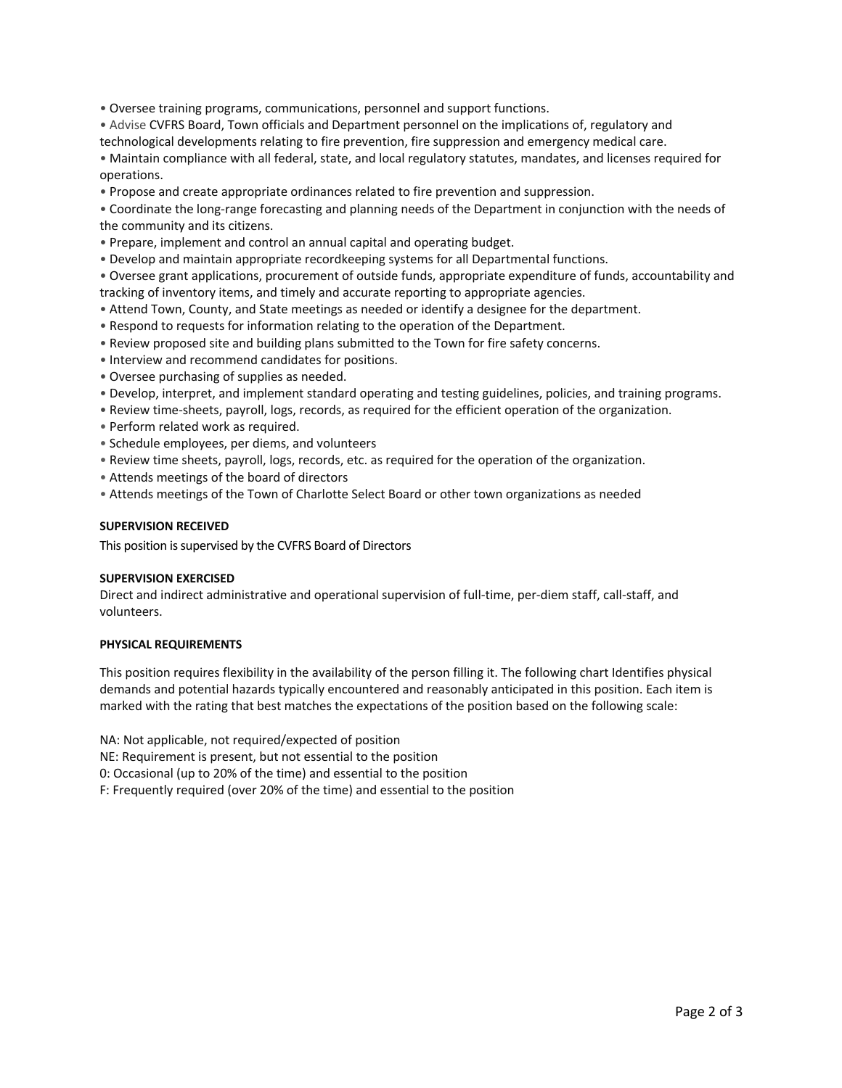• Oversee training programs, communications, personnel and support functions.

• Advise CVFRS Board, Town officials and Department personnel on the implications of, regulatory and technological developments relating to fire prevention, fire suppression and emergency medical care.

• Maintain compliance with all federal, state, and local regulatory statutes, mandates, and licenses required for operations.

• Propose and create appropriate ordinances related to fire prevention and suppression.

• Coordinate the long-range forecasting and planning needs of the Department in conjunction with the needs of the community and its citizens.

- Prepare, implement and control an annual capital and operating budget.
- Develop and maintain appropriate recordkeeping systems for all Departmental functions.
- Oversee grant applications, procurement of outside funds, appropriate expenditure of funds, accountability and tracking of inventory items, and timely and accurate reporting to appropriate agencies.
- Attend Town, County, and State meetings as needed or identify a designee for the department.
- Respond to requests for information relating to the operation of the Department.
- Review proposed site and building plans submitted to the Town for fire safety concerns.
- Interview and recommend candidates for positions.
- Oversee purchasing of supplies as needed.
- Develop, interpret, and implement standard operating and testing guidelines, policies, and training programs.
- Review time-sheets, payroll, logs, records, as required for the efficient operation of the organization.
- Perform related work as required.
- Schedule employees, per diems, and volunteers
- Review time sheets, payroll, logs, records, etc. as required for the operation of the organization.
- Attends meetings of the board of directors
- Attends meetings of the Town of Charlotte Select Board or other town organizations as needed

## **SUPERVISION RECEIVED**

This position is supervised by the CVFRS Board of Directors

## **SUPERVISION EXERCISED**

Direct and indirect administrative and operational supervision of full-time, per-diem staff, call-staff, and volunteers.

## **PHYSICAL REQUIREMENTS**

This position requires flexibility in the availability of the person filling it. The following chart Identifies physical demands and potential hazards typically encountered and reasonably anticipated in this position. Each item is marked with the rating that best matches the expectations of the position based on the following scale:

NA: Not applicable, not required/expected of position

NE: Requirement is present, but not essential to the position

0: Occasional (up to 20% of the time) and essential to the position

F: Frequently required (over 20% of the time) and essential to the position